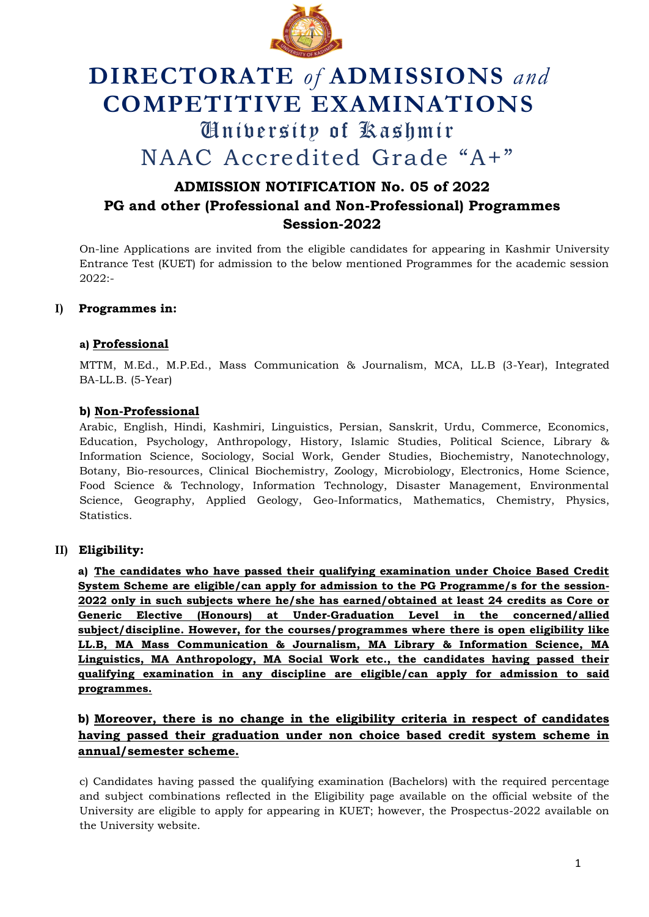

# **DIRECTORATE** *of* **ADMISSIONS** *and* **COMPETITIVE EXAMINATIONS** University of Kashmir NAAC Accredited Grade "A+"

## **ADMISSION NOTIFICATION No. 05 of 2022 PG and other (Professional and Non-Professional) Programmes Session-2022**

On-line Applications are invited from the eligible candidates for appearing in Kashmir University Entrance Test (KUET) for admission to the below mentioned Programmes for the academic session 2022:-

## **I) Programmes in:**

## **a) Professional**

MTTM, M.Ed., M.P.Ed., Mass Communication & Journalism, MCA, LL.B (3-Year), Integrated BA-LL.B. (5-Year)

## **b) Non-Professional**

Arabic, English, Hindi, Kashmiri, Linguistics, Persian, Sanskrit, Urdu, Commerce, Economics, Education, Psychology, Anthropology, History, Islamic Studies, Political Science, Library & Information Science, Sociology, Social Work, Gender Studies, Biochemistry, Nanotechnology, Botany, Bio-resources, Clinical Biochemistry, Zoology, Microbiology, Electronics, Home Science, Food Science & Technology, Information Technology, Disaster Management, Environmental Science, Geography, Applied Geology, Geo-Informatics, Mathematics, Chemistry, Physics, Statistics.

## **II) Eligibility:**

**a) The candidates who have passed their qualifying examination under Choice Based Credit System Scheme are eligible/can apply for admission to the PG Programme/s for the session-2022 only in such subjects where he/she has earned/obtained at least 24 credits as Core or Generic Elective (Honours) at Under-Graduation Level in the concerned/allied subject/discipline. However, for the courses/programmes where there is open eligibility like LL.B, MA Mass Communication & Journalism, MA Library & Information Science, MA Linguistics, MA Anthropology, MA Social Work etc., the candidates having passed their qualifying examination in any discipline are eligible/can apply for admission to said programmes.** 

## **b) Moreover, there is no change in the eligibility criteria in respect of candidates having passed their graduation under non choice based credit system scheme in annual/semester scheme.**

c) Candidates having passed the qualifying examination (Bachelors) with the required percentage and subject combinations reflected in the Eligibility page available on the official website of the University are eligible to apply for appearing in KUET; however, the Prospectus-2022 available on the University website.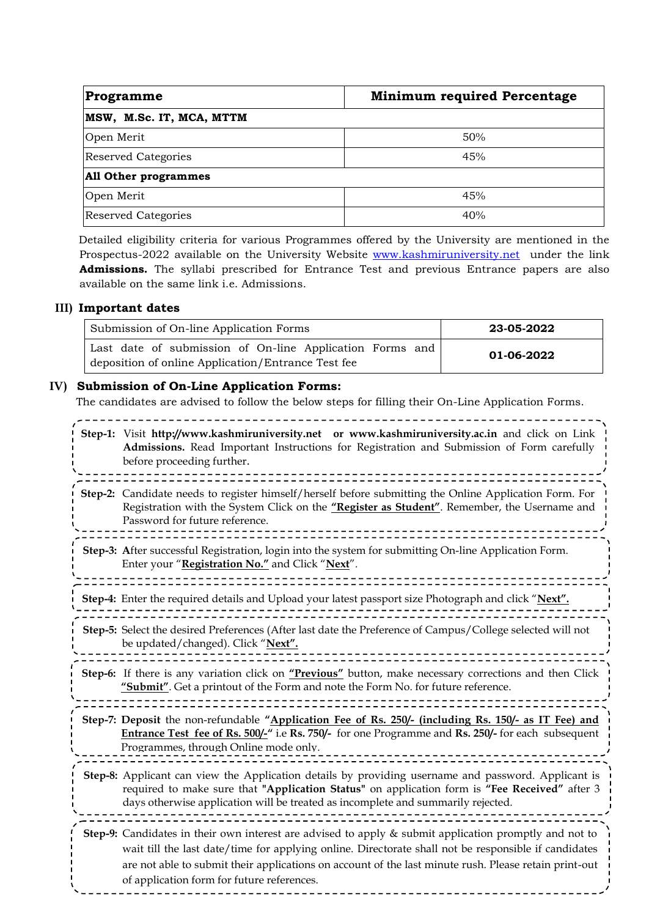| Programme                   | <b>Minimum required Percentage</b> |
|-----------------------------|------------------------------------|
| MSW, M.Sc. IT, MCA, MTTM    |                                    |
| Open Merit                  | 50%                                |
| <b>Reserved Categories</b>  | 45%                                |
| <b>All Other programmes</b> |                                    |
| Open Merit                  | 45%                                |
| <b>Reserved Categories</b>  | 40%                                |

Detailed eligibility criteria for various Programmes offered by the University are mentioned in the Prospectus-2022 available on the University Website [www.kashmiruniversity.net](http://www.kashmiruniversity.net/) under the link **Admissions.** The syllabi prescribed for Entrance Test and previous Entrance papers are also available on the same link i.e. Admissions.

#### **III) Important dates**

| Submission of On-line Application Forms                                                                        | 23-05-2022 |
|----------------------------------------------------------------------------------------------------------------|------------|
| Last date of submission of On-line Application Forms and<br>deposition of online Application/Entrance Test fee | 01-06-2022 |

#### **IV) Submission of On-Line Application Forms:**

The candidates are advised to follow the below steps for filling their On-Line Application Forms.

\_\_\_\_\_\_\_\_\_\_\_\_\_\_\_\_\_\_\_\_\_ **Step-1:** Visit **[http://www.kashmiruniversity.net](http://www.kashmiruniversity.net/) or [www.kashmiruniversity.ac.in](http://www.kashmiruniversity.ac.in/)** and click on Link **Admissions.** Read Important Instructions for Registration and Submission of Form carefully before proceeding further. **Step-2:** Candidate needs to register himself/herself before submitting the Online Application Form. For Registration with the System Click on the **"Register as Student"**. Remember, the Username and Password for future reference. **Step-3: A**fter successful Registration, login into the system for submitting On-line Application Form. Enter your "**Registration No."** and Click "**Next**". **Step-4:** Enter the required details and Upload your latest passport size Photograph and click "**Next". Step-5:** Select the desired Preferences (After last date the Preference of Campus/College selected will not be updated/changed). Click "**Next". Step-6:** If there is any variation click on **"Previous"** button, make necessary corrections and then Click **"Submit"**. Get a printout of the Form and note the Form No. for future reference. **Step-7: Deposit** the non-refundable **"Application Fee of Rs. 250/- (including Rs. 150/- as IT Fee) and Entrance Test fee of Rs. 500/-"** i.e **Rs. 750/-** for one Programme and **Rs. 250/-** for each subsequent Programmes, through Online mode only. **Step-8:** Applicant can view the Application details by providing username and password. Applicant is required to make sure that **"Application Status"** on application form is **"Fee Received"** after 3 days otherwise application will be treated as incomplete and summarily rejected. **Step-9:** Candidates in their own interest are advised to apply & submit application promptly and not to wait till the last date/time for applying online. Directorate shall not be responsible if candidates are not able to submit their applications on account of the last minute rush. Please retain print-out of application form for future references.